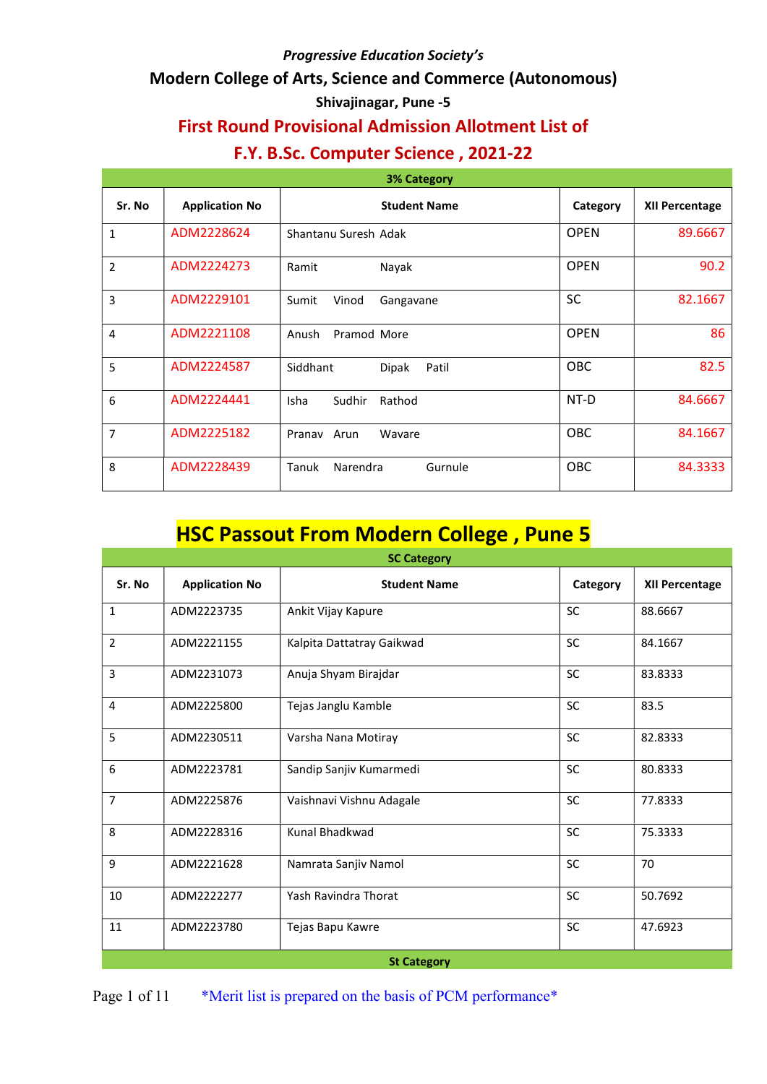### Modern College of Arts, Science and Commerce (Autonomous)

#### Shivajinagar, Pune -5

# First Round Provisional Admission Allotment List of

## F.Y. B.Sc. Computer Science , 2021-22

| <b>3% Category</b> |                       |                                 |             |                       |  |
|--------------------|-----------------------|---------------------------------|-------------|-----------------------|--|
| Sr. No             | <b>Application No</b> | <b>Student Name</b>             | Category    | <b>XII Percentage</b> |  |
| $\mathbf{1}$       | ADM2228624            | Shantanu Suresh Adak            | <b>OPEN</b> | 89.6667               |  |
| $\overline{2}$     | ADM2224273            | Nayak<br>Ramit                  | <b>OPEN</b> | 90.2                  |  |
| 3                  | ADM2229101            | Vinod<br>Sumit<br>Gangavane     | <b>SC</b>   | 82.1667               |  |
| $\overline{4}$     | ADM2221108            | Pramod More<br>Anush            | <b>OPEN</b> | 86                    |  |
| 5                  | ADM2224587            | Siddhant<br>Dipak<br>Patil      | <b>OBC</b>  | 82.5                  |  |
| 6                  | ADM2224441            | Sudhir<br>Rathod<br><b>Isha</b> | NT-D        | 84.6667               |  |
| $\overline{7}$     | ADM2225182            | Arun<br>Wavare<br>Pranav        | OBC         | 84.1667               |  |
| 8                  | ADM2228439            | Narendra<br>Tanuk<br>Gurnule    | OBC         | 84.3333               |  |

# HSC Passout From Modern College , Pune 5

| <b>SC Category</b> |                       |                           |           |                       |  |  |
|--------------------|-----------------------|---------------------------|-----------|-----------------------|--|--|
| Sr. No             | <b>Application No</b> | <b>Student Name</b>       | Category  | <b>XII Percentage</b> |  |  |
| 1                  | ADM2223735            | Ankit Vijay Kapure        | <b>SC</b> | 88.6667               |  |  |
| $\overline{2}$     | ADM2221155            | Kalpita Dattatray Gaikwad | <b>SC</b> | 84.1667               |  |  |
| 3                  | ADM2231073            | Anuja Shyam Birajdar      | <b>SC</b> | 83.8333               |  |  |
| $\overline{4}$     | ADM2225800            | Tejas Janglu Kamble       | <b>SC</b> | 83.5                  |  |  |
| 5                  | ADM2230511            | Varsha Nana Motiray       | <b>SC</b> | 82.8333               |  |  |
| 6                  | ADM2223781            | Sandip Sanjiv Kumarmedi   | SC        | 80.8333               |  |  |
| $\overline{7}$     | ADM2225876            | Vaishnavi Vishnu Adagale  | <b>SC</b> | 77.8333               |  |  |
| 8                  | ADM2228316            | Kunal Bhadkwad            | SC        | 75.3333               |  |  |
| 9                  | ADM2221628            | Namrata Sanjiv Namol      | <b>SC</b> | 70                    |  |  |
| 10                 | ADM2222277            | Yash Ravindra Thorat      | <b>SC</b> | 50.7692               |  |  |
| 11                 | ADM2223780            | Tejas Bapu Kawre          | SC        | 47.6923               |  |  |
|                    |                       | <b>St Category</b>        |           |                       |  |  |

Page 1 of 11 \*Merit list is prepared on the basis of PCM performance\*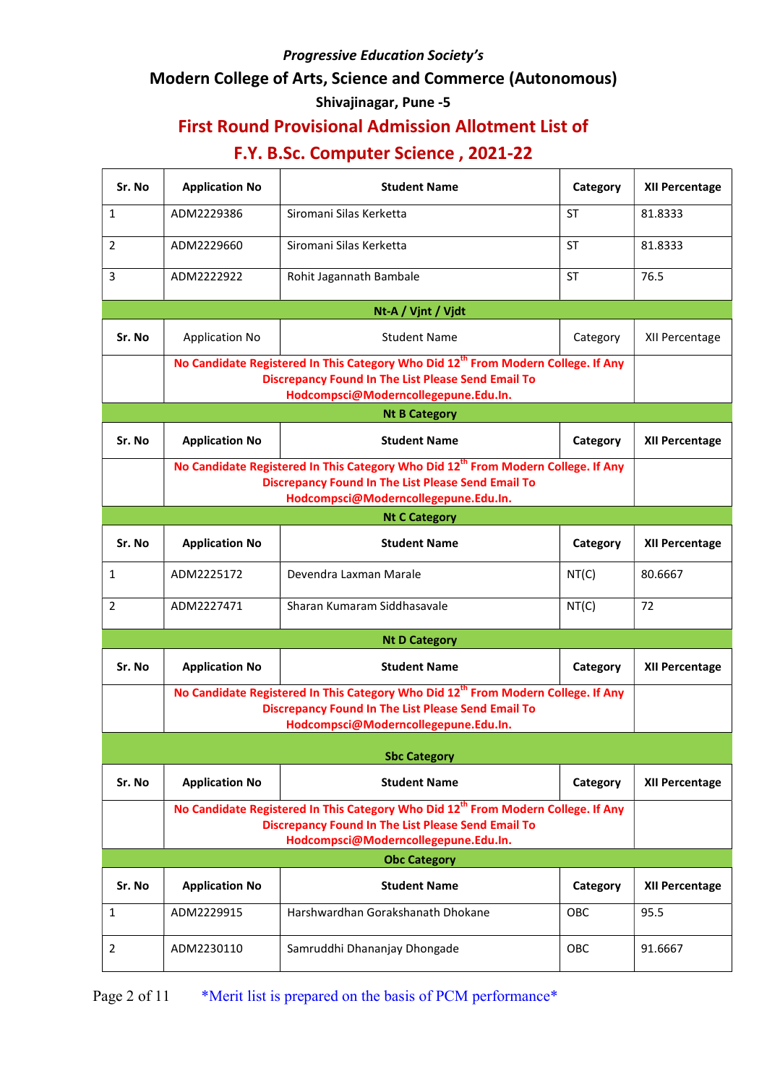### Modern College of Arts, Science and Commerce (Autonomous)

## Shivajinagar, Pune -5

# First Round Provisional Admission Allotment List of

| Sr. No       | <b>Application No</b>                                                                                                                                                                              | <b>Student Name</b>                                                                                                                                                                                | Category  | <b>XII Percentage</b> |  |
|--------------|----------------------------------------------------------------------------------------------------------------------------------------------------------------------------------------------------|----------------------------------------------------------------------------------------------------------------------------------------------------------------------------------------------------|-----------|-----------------------|--|
| $\mathbf{1}$ | ADM2229386                                                                                                                                                                                         | Siromani Silas Kerketta                                                                                                                                                                            | ST        | 81.8333               |  |
| 2            | ADM2229660                                                                                                                                                                                         | Siromani Silas Kerketta                                                                                                                                                                            | <b>ST</b> | 81.8333               |  |
| 3            | ADM2222922                                                                                                                                                                                         | Rohit Jagannath Bambale                                                                                                                                                                            | <b>ST</b> | 76.5                  |  |
|              |                                                                                                                                                                                                    | Nt-A / Vjnt / Vjdt                                                                                                                                                                                 |           |                       |  |
| Sr. No       | Application No                                                                                                                                                                                     | <b>Student Name</b>                                                                                                                                                                                | Category  | XII Percentage        |  |
|              |                                                                                                                                                                                                    | No Candidate Registered In This Category Who Did 12 <sup>th</sup> From Modern College. If Any<br><b>Discrepancy Found In The List Please Send Email To</b><br>Hodcompsci@Moderncollegepune.Edu.In. |           |                       |  |
|              |                                                                                                                                                                                                    | <b>Nt B Category</b>                                                                                                                                                                               |           |                       |  |
| Sr. No       | <b>Application No</b>                                                                                                                                                                              | <b>Student Name</b>                                                                                                                                                                                | Category  | <b>XII Percentage</b> |  |
|              | No Candidate Registered In This Category Who Did 12 <sup>th</sup> From Modern College. If Any<br><b>Discrepancy Found In The List Please Send Email To</b><br>Hodcompsci@Moderncollegepune.Edu.In. |                                                                                                                                                                                                    |           |                       |  |
|              |                                                                                                                                                                                                    | <b>Nt C Category</b>                                                                                                                                                                               |           |                       |  |
| Sr. No       | <b>Application No</b>                                                                                                                                                                              | <b>Student Name</b>                                                                                                                                                                                | Category  | <b>XII Percentage</b> |  |
| 1            | ADM2225172                                                                                                                                                                                         | Devendra Laxman Marale                                                                                                                                                                             | NT(C)     | 80.6667               |  |
| 2            | ADM2227471                                                                                                                                                                                         | Sharan Kumaram Siddhasavale                                                                                                                                                                        | NT(C)     | 72                    |  |
|              |                                                                                                                                                                                                    | <b>Nt D Category</b>                                                                                                                                                                               |           |                       |  |
| Sr. No       | <b>Application No</b>                                                                                                                                                                              | <b>Student Name</b>                                                                                                                                                                                | Category  | <b>XII Percentage</b> |  |
|              |                                                                                                                                                                                                    | No Candidate Registered In This Category Who Did 12 <sup>th</sup> From Modern College. If Any<br><b>Discrepancy Found In The List Please Send Email To</b><br>Hodcompsci@Moderncollegepune.Edu.In. |           |                       |  |
|              |                                                                                                                                                                                                    | <b>Sbc Category</b>                                                                                                                                                                                |           |                       |  |
| Sr. No       | <b>Application No</b>                                                                                                                                                                              | <b>Student Name</b>                                                                                                                                                                                | Category  | <b>XII Percentage</b> |  |
|              | No Candidate Registered In This Category Who Did 12 <sup>th</sup> From Modern College. If Any<br><b>Discrepancy Found In The List Please Send Email To</b><br>Hodcompsci@Moderncollegepune.Edu.In. |                                                                                                                                                                                                    |           |                       |  |
|              |                                                                                                                                                                                                    | <b>Obc Category</b>                                                                                                                                                                                |           |                       |  |
| Sr. No       | <b>Application No</b>                                                                                                                                                                              | <b>Student Name</b>                                                                                                                                                                                | Category  | <b>XII Percentage</b> |  |
| 1            | ADM2229915                                                                                                                                                                                         | Harshwardhan Gorakshanath Dhokane                                                                                                                                                                  | OBC       | 95.5                  |  |
| 2            | ADM2230110                                                                                                                                                                                         | Samruddhi Dhananjay Dhongade                                                                                                                                                                       | OBC       | 91.6667               |  |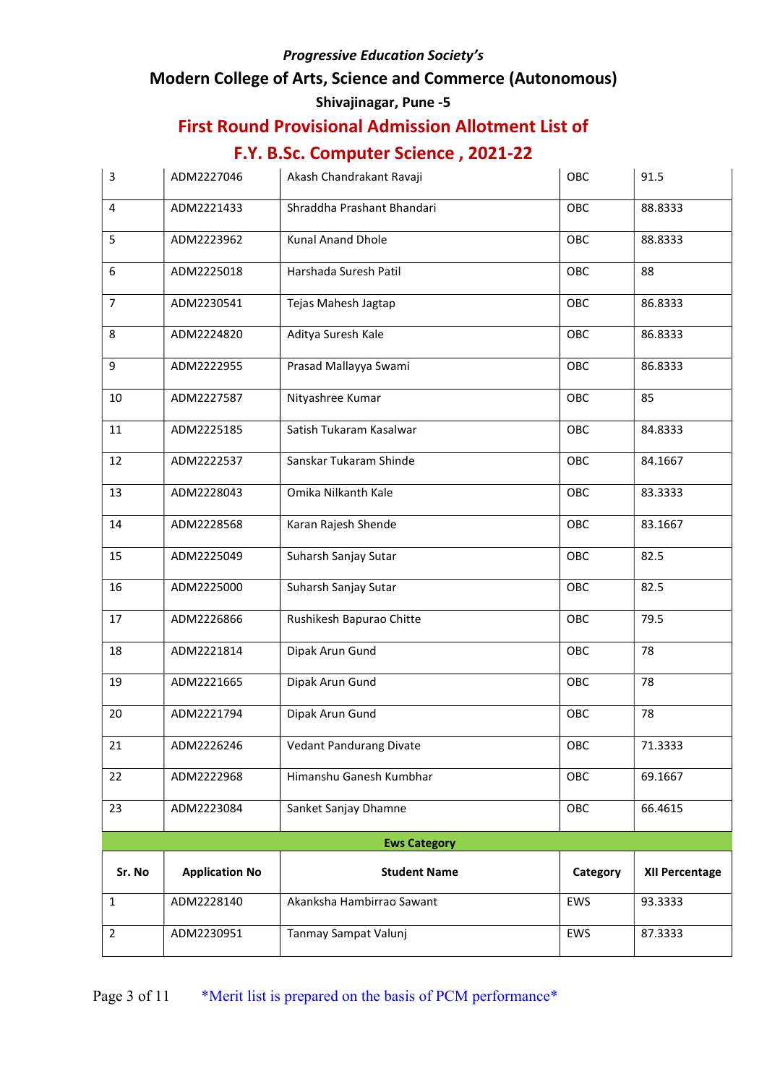### Modern College of Arts, Science and Commerce (Autonomous)

### Shivajinagar, Pune -5

# First Round Provisional Admission Allotment List of

| 3              | ADM2227046            | Akash Chandrakant Ravaji       | OBC        | 91.5                  |
|----------------|-----------------------|--------------------------------|------------|-----------------------|
| 4              | ADM2221433            | Shraddha Prashant Bhandari     | OBC        | 88.8333               |
| 5              | ADM2223962            | Kunal Anand Dhole              | OBC        | 88.8333               |
| 6              | ADM2225018            | Harshada Suresh Patil          | OBC        | 88                    |
| $\overline{7}$ | ADM2230541            | Tejas Mahesh Jagtap            | OBC        | 86.8333               |
| 8              | ADM2224820            | Aditya Suresh Kale             | OBC        | 86.8333               |
| 9              | ADM2222955            | Prasad Mallayya Swami          | OBC        | 86.8333               |
| 10             | ADM2227587            | Nityashree Kumar               | OBC        | 85                    |
| 11             | ADM2225185            | Satish Tukaram Kasalwar        | OBC        | 84.8333               |
| 12             | ADM2222537            | Sanskar Tukaram Shinde         | OBC        | 84.1667               |
| 13             | ADM2228043            | Omika Nilkanth Kale            | OBC        | 83.3333               |
| 14             | ADM2228568            | Karan Rajesh Shende            | OBC        | 83.1667               |
| 15             | ADM2225049            | Suharsh Sanjay Sutar           | OBC        | 82.5                  |
| 16             | ADM2225000            | Suharsh Sanjay Sutar           | OBC        | 82.5                  |
| 17             | ADM2226866            | Rushikesh Bapurao Chitte       | OBC        | 79.5                  |
| 18             | ADM2221814            | Dipak Arun Gund                | OBC        | 78                    |
| 19             | ADM2221665            | Dipak Arun Gund                | OBC        | 78                    |
| 20             | ADM2221794            | Dipak Arun Gund                | OBC        | 78                    |
| 21             | ADM2226246            | <b>Vedant Pandurang Divate</b> | OBC        | 71.3333               |
| 22             | ADM2222968            | Himanshu Ganesh Kumbhar        | OBC        | 69.1667               |
| 23             | ADM2223084            | Sanket Sanjay Dhamne           | OBC        | 66.4615               |
|                |                       | <b>Ews Category</b>            |            |                       |
| Sr. No         | <b>Application No</b> | <b>Student Name</b>            | Category   | <b>XII Percentage</b> |
| 1              | ADM2228140            | Akanksha Hambirrao Sawant      | <b>EWS</b> | 93.3333               |
| $\overline{2}$ | ADM2230951            | Tanmay Sampat Valunj           | EWS        | 87.3333               |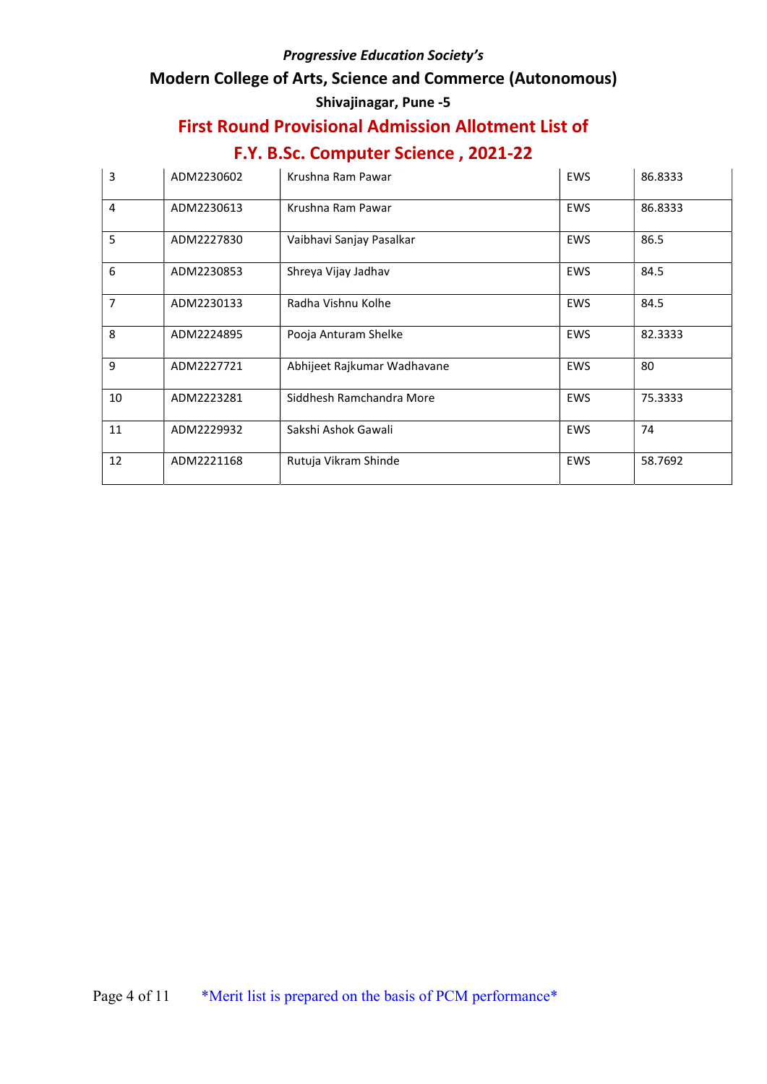### Modern College of Arts, Science and Commerce (Autonomous)

### Shivajinagar, Pune -5

# First Round Provisional Admission Allotment List of

| 3              | ADM2230602 | Krushna Ram Pawar           | <b>EWS</b> | 86.8333 |
|----------------|------------|-----------------------------|------------|---------|
| $\overline{4}$ | ADM2230613 | Krushna Ram Pawar           | <b>EWS</b> | 86.8333 |
| 5              | ADM2227830 | Vaibhavi Sanjay Pasalkar    | <b>EWS</b> | 86.5    |
| 6              | ADM2230853 | Shreya Vijay Jadhav         | <b>EWS</b> | 84.5    |
| $\overline{7}$ | ADM2230133 | Radha Vishnu Kolhe          | <b>EWS</b> | 84.5    |
| 8              | ADM2224895 | Pooja Anturam Shelke        | <b>EWS</b> | 82.3333 |
| 9              | ADM2227721 | Abhijeet Rajkumar Wadhavane | <b>EWS</b> | 80      |
| 10             | ADM2223281 | Siddhesh Ramchandra More    | <b>EWS</b> | 75.3333 |
| 11             | ADM2229932 | Sakshi Ashok Gawali         | <b>EWS</b> | 74      |
| 12             | ADM2221168 | Rutuja Vikram Shinde        | <b>EWS</b> | 58.7692 |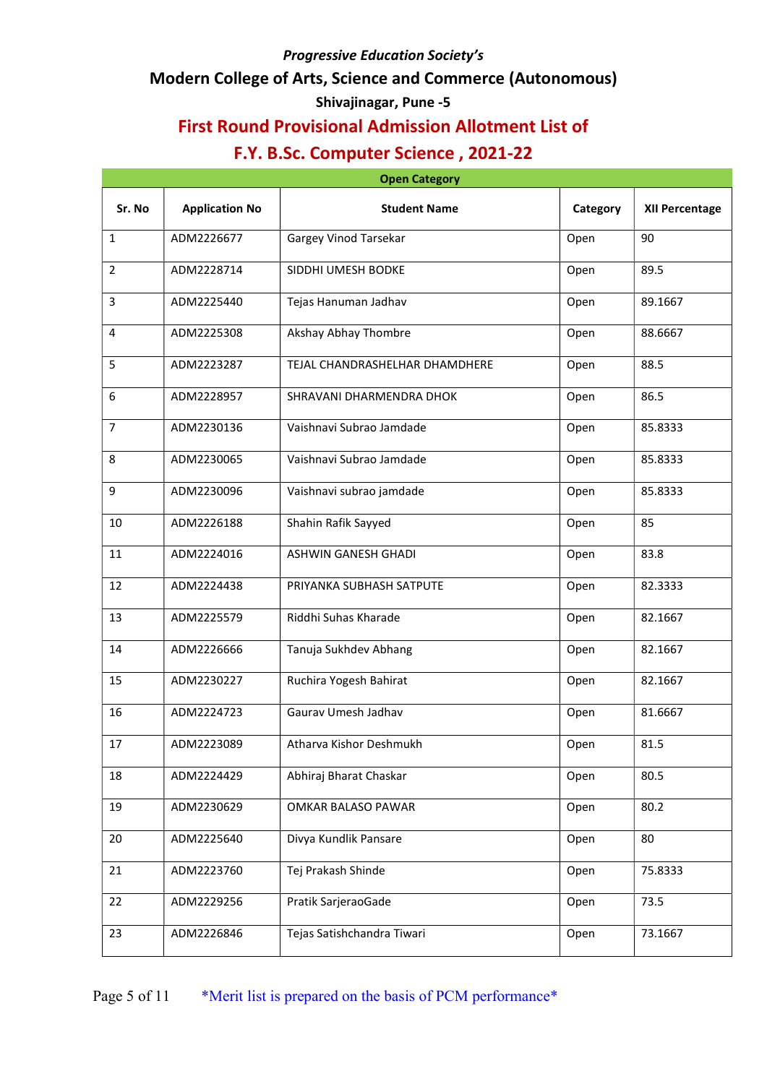### Modern College of Arts, Science and Commerce (Autonomous)

### Shivajinagar, Pune -5

## First Round Provisional Admission Allotment List of

| <b>Open Category</b> |                       |                                |          |                |  |
|----------------------|-----------------------|--------------------------------|----------|----------------|--|
| Sr. No               | <b>Application No</b> | <b>Student Name</b>            | Category | XII Percentage |  |
| $\mathbf{1}$         | ADM2226677            | Gargey Vinod Tarsekar          | Open     | 90             |  |
| $\overline{2}$       | ADM2228714            | SIDDHI UMESH BODKE             | Open     | 89.5           |  |
| 3                    | ADM2225440            | Tejas Hanuman Jadhav           | Open     | 89.1667        |  |
| 4                    | ADM2225308            | Akshay Abhay Thombre           | Open     | 88.6667        |  |
| 5                    | ADM2223287            | TEJAL CHANDRASHELHAR DHAMDHERE | Open     | 88.5           |  |
| 6                    | ADM2228957            | SHRAVANI DHARMENDRA DHOK       | Open     | 86.5           |  |
| $\overline{7}$       | ADM2230136            | Vaishnavi Subrao Jamdade       | Open     | 85.8333        |  |
| 8                    | ADM2230065            | Vaishnavi Subrao Jamdade       | Open     | 85.8333        |  |
| 9                    | ADM2230096            | Vaishnavi subrao jamdade       | Open     | 85.8333        |  |
| 10                   | ADM2226188            | Shahin Rafik Sayyed            | Open     | 85             |  |
| 11                   | ADM2224016            | <b>ASHWIN GANESH GHADI</b>     | Open     | 83.8           |  |
| 12                   | ADM2224438            | PRIYANKA SUBHASH SATPUTE       | Open     | 82.3333        |  |
| 13                   | ADM2225579            | Riddhi Suhas Kharade           | Open     | 82.1667        |  |
| 14                   | ADM2226666            | Tanuja Sukhdev Abhang          | Open     | 82.1667        |  |
| 15                   | ADM2230227            | Ruchira Yogesh Bahirat         | Open     | 82.1667        |  |
| 16                   | ADM2224723            | Gaurav Umesh Jadhav            | Open     | 81.6667        |  |
| 17                   | ADM2223089            | Atharva Kishor Deshmukh        | Open     | 81.5           |  |
| 18                   | ADM2224429            | Abhiraj Bharat Chaskar         | Open     | 80.5           |  |
| 19                   | ADM2230629            | OMKAR BALASO PAWAR             | Open     | 80.2           |  |
| 20                   | ADM2225640            | Divya Kundlik Pansare          | Open     | 80             |  |
| 21                   | ADM2223760            | Tej Prakash Shinde             | Open     | 75.8333        |  |
| 22                   | ADM2229256            | Pratik SarjeraoGade            | Open     | 73.5           |  |
| 23                   | ADM2226846            | Tejas Satishchandra Tiwari     | Open     | 73.1667        |  |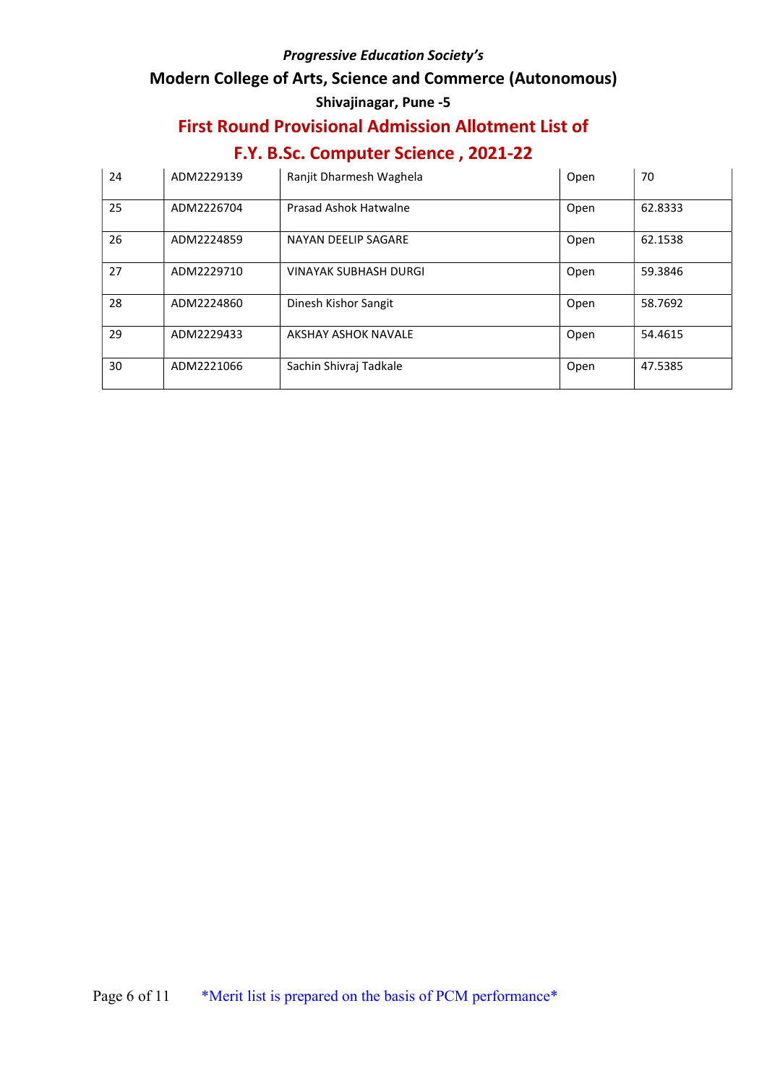### Modern College of Arts, Science and Commerce (Autonomous)

## Shivajinagar, Pune -5

# First Round Provisional Admission Allotment List of

| 24 | ADM2229139 | Ranjit Dharmesh Waghela      | Open | 70      |
|----|------------|------------------------------|------|---------|
| 25 | ADM2226704 | Prasad Ashok Hatwalne        | Open | 62.8333 |
| 26 | ADM2224859 | NAYAN DEELIP SAGARE          | Open | 62.1538 |
| 27 | ADM2229710 | <b>VINAYAK SUBHASH DURGI</b> | Open | 59.3846 |
| 28 | ADM2224860 | Dinesh Kishor Sangit         | Open | 58.7692 |
| 29 | ADM2229433 | <b>AKSHAY ASHOK NAVALE</b>   | Open | 54.4615 |
| 30 | ADM2221066 | Sachin Shivraj Tadkale       | Open | 47.5385 |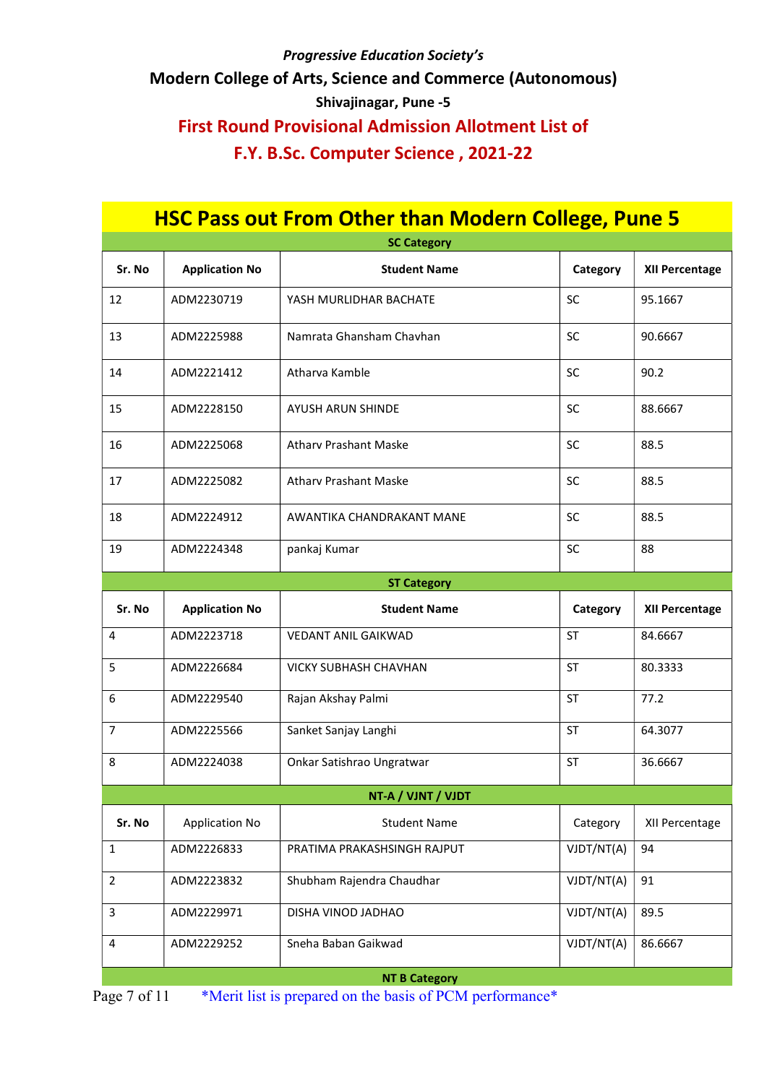# Progressive Education Society's Modern College of Arts, Science and Commerce (Autonomous) Shivajinagar, Pune -5 First Round Provisional Admission Allotment List of F.Y. B.Sc. Computer Science , 2021-22

| <b>HSC Pass out From Other than Modern College, Pune 5</b> |                       |                              |            |                |
|------------------------------------------------------------|-----------------------|------------------------------|------------|----------------|
|                                                            |                       | <b>SC Category</b>           |            |                |
| Sr. No                                                     | <b>Application No</b> | <b>Student Name</b>          | Category   | XII Percentage |
| 12                                                         | ADM2230719            | YASH MURLIDHAR BACHATE       | <b>SC</b>  | 95.1667        |
| 13                                                         | ADM2225988            | Namrata Ghansham Chavhan     | <b>SC</b>  | 90.6667        |
| 14                                                         | ADM2221412            | Atharva Kamble               | SC         | 90.2           |
| 15                                                         | ADM2228150            | AYUSH ARUN SHINDE            | <b>SC</b>  | 88.6667        |
| 16                                                         | ADM2225068            | <b>Athary Prashant Maske</b> | <b>SC</b>  | 88.5           |
| 17                                                         | ADM2225082            | <b>Athary Prashant Maske</b> | SC         | 88.5           |
| 18                                                         | ADM2224912            | AWANTIKA CHANDRAKANT MANE    | <b>SC</b>  | 88.5           |
| 19                                                         | ADM2224348            | pankaj Kumar                 | <b>SC</b>  | 88             |
| <b>ST Category</b>                                         |                       |                              |            |                |
|                                                            |                       |                              |            |                |
| Sr. No                                                     | <b>Application No</b> | <b>Student Name</b>          | Category   | XII Percentage |
| 4                                                          | ADM2223718            | <b>VEDANT ANIL GAIKWAD</b>   | <b>ST</b>  | 84.6667        |
| 5                                                          | ADM2226684            | <b>VICKY SUBHASH CHAVHAN</b> | <b>ST</b>  | 80.3333        |
| 6                                                          | ADM2229540            | Rajan Akshay Palmi           | <b>ST</b>  | 77.2           |
| 7                                                          | ADM2225566            | Sanket Sanjay Langhi         | <b>ST</b>  | 64.3077        |
| 8                                                          | ADM2224038            | Onkar Satishrao Ungratwar    | ST         | 36.6667        |
|                                                            |                       | NT-A / VJNT / VJDT           |            |                |
| Sr. No                                                     | <b>Application No</b> | <b>Student Name</b>          | Category   | XII Percentage |
| 1                                                          | ADM2226833            | PRATIMA PRAKASHSINGH RAJPUT  | VJDT/NT(A) | 94             |
| $\overline{2}$                                             | ADM2223832            | Shubham Rajendra Chaudhar    | VJDT/NT(A) | 91             |
| 3                                                          | ADM2229971            | DISHA VINOD JADHAO           | VJDT/NT(A) | 89.5           |

NT B Category

Page 7 of 11 \*Merit list is prepared on the basis of PCM performance\*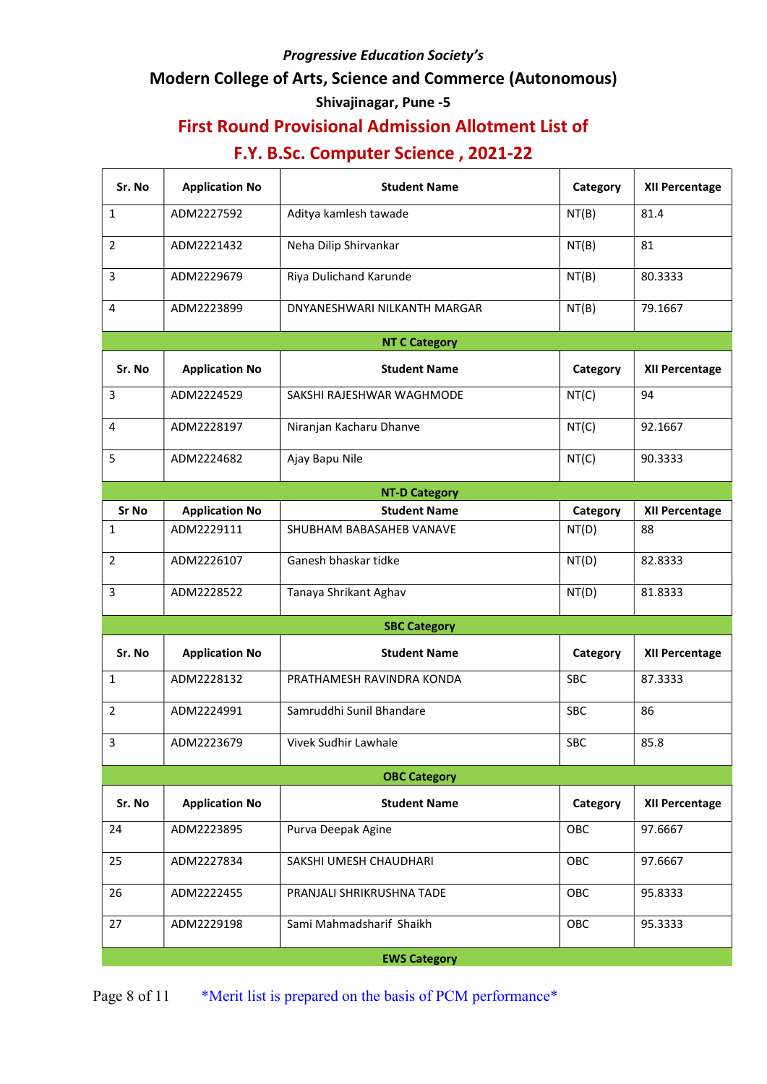### Modern College of Arts, Science and Commerce (Autonomous)

## Shivajinagar, Pune -5

# First Round Provisional Admission Allotment List of

# F.Y. B.Sc. Computer Science , 2021-22

| Sr. No         | <b>Application No</b> | <b>Student Name</b>          | Category   | <b>XII Percentage</b> |  |  |
|----------------|-----------------------|------------------------------|------------|-----------------------|--|--|
| 1              | ADM2227592            | Aditya kamlesh tawade        | NT(B)      | 81.4                  |  |  |
| $\overline{2}$ | ADM2221432            | Neha Dilip Shirvankar        | NT(B)      | 81                    |  |  |
| 3              | ADM2229679            | Riya Dulichand Karunde       | NT(B)      | 80.3333               |  |  |
| 4              | ADM2223899            | DNYANESHWARI NILKANTH MARGAR | NT(B)      | 79.1667               |  |  |
|                |                       | <b>NT C Category</b>         |            |                       |  |  |
| Sr. No         | <b>Application No</b> | <b>Student Name</b>          | Category   | <b>XII Percentage</b> |  |  |
| 3              | ADM2224529            | SAKSHI RAJESHWAR WAGHMODE    | NT(C)      | 94                    |  |  |
| 4              | ADM2228197            | Niranjan Kacharu Dhanve      | NT(C)      | 92.1667               |  |  |
| 5              | ADM2224682            | Ajay Bapu Nile               | NT(C)      | 90.3333               |  |  |
|                |                       | <b>NT-D Category</b>         |            |                       |  |  |
| Sr No          | <b>Application No</b> | <b>Student Name</b>          | Category   | <b>XII Percentage</b> |  |  |
| 1              | ADM2229111            | SHUBHAM BABASAHEB VANAVE     | NT(D)      | 88                    |  |  |
| $\overline{2}$ | ADM2226107            | Ganesh bhaskar tidke         | NT(D)      | 82.8333               |  |  |
| 3              | ADM2228522            | Tanaya Shrikant Aghav        | NT(D)      | 81.8333               |  |  |
|                |                       | <b>SBC Category</b>          |            |                       |  |  |
| Sr. No         | <b>Application No</b> | <b>Student Name</b>          | Category   | <b>XII Percentage</b> |  |  |
| $\mathbf{1}$   | ADM2228132            | PRATHAMESH RAVINDRA KONDA    | <b>SBC</b> | 87.3333               |  |  |
| $\overline{2}$ | ADM2224991            | Samruddhi Sunil Bhandare     | <b>SBC</b> | 86                    |  |  |
| 3              | ADM2223679            | Vivek Sudhir Lawhale         | <b>SBC</b> | 85.8                  |  |  |
|                | <b>OBC Category</b>   |                              |            |                       |  |  |
| Sr. No         | <b>Application No</b> | <b>Student Name</b>          | Category   | <b>XII Percentage</b> |  |  |
| 24             | ADM2223895            | Purva Deepak Agine           | OBC        | 97.6667               |  |  |
| 25             | ADM2227834            | SAKSHI UMESH CHAUDHARI       | OBC        | 97.6667               |  |  |
| 26             | ADM2222455            | PRANJALI SHRIKRUSHNA TADE    | OBC        | 95.8333               |  |  |
| 27             | ADM2229198            | Sami Mahmadsharif Shaikh     | OBC        | 95.3333               |  |  |
|                | <b>EWS Category</b>   |                              |            |                       |  |  |

Page 8 of 11 \*Merit list is prepared on the basis of PCM performance\*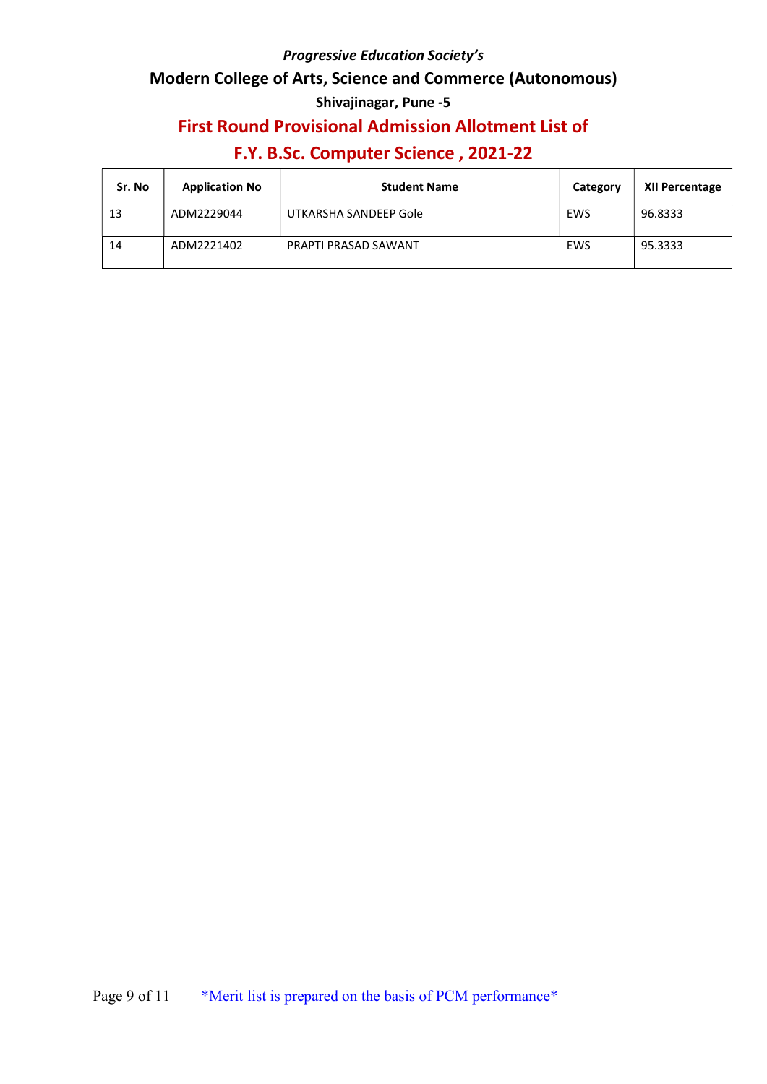### Modern College of Arts, Science and Commerce (Autonomous)

## Shivajinagar, Pune -5

## First Round Provisional Admission Allotment List of

| Sr. No | <b>Application No</b> | <b>Student Name</b>   | Category | XII Percentage |
|--------|-----------------------|-----------------------|----------|----------------|
| 13     | ADM2229044            | UTKARSHA SANDEEP Gole | EWS      | 96.8333        |
| 14     | ADM2221402            | PRAPTI PRASAD SAWANT  | EWS      | 95.3333        |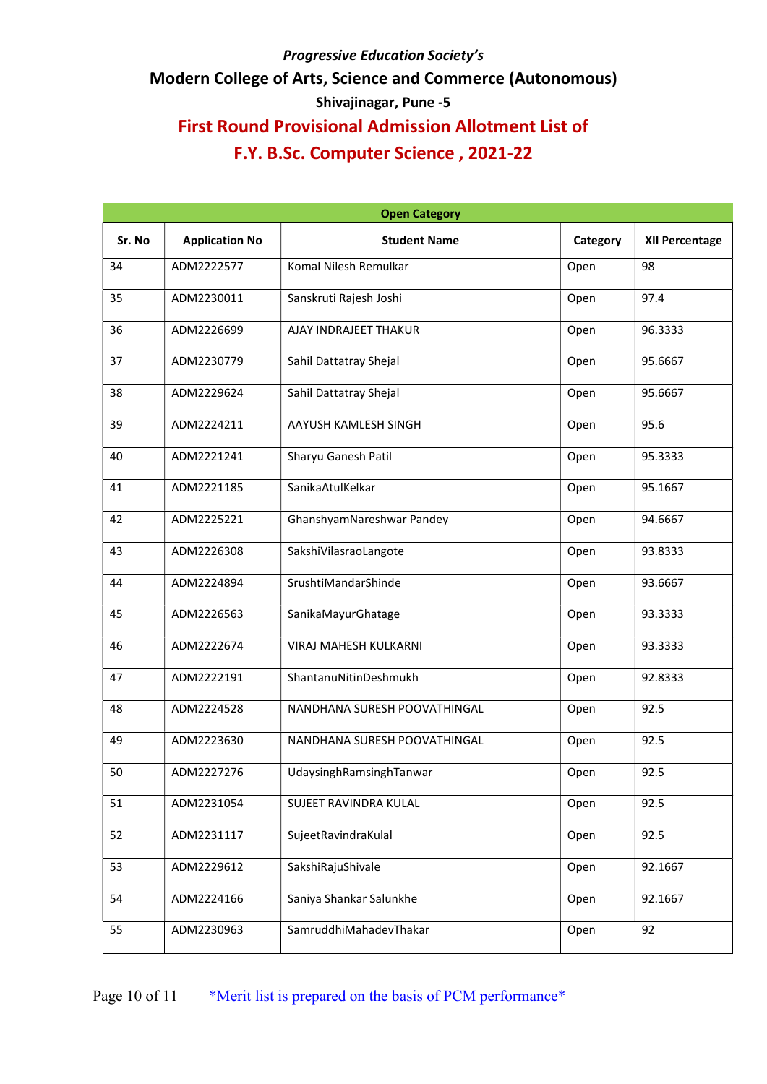# Modern College of Arts, Science and Commerce (Autonomous)

# Shivajinagar, Pune -5

# First Round Provisional Admission Allotment List of

|        | <b>Open Category</b>  |                              |          |                |  |  |
|--------|-----------------------|------------------------------|----------|----------------|--|--|
| Sr. No | <b>Application No</b> | <b>Student Name</b>          | Category | XII Percentage |  |  |
| 34     | ADM2222577            | Komal Nilesh Remulkar        | Open     | 98             |  |  |
| 35     | ADM2230011            | Sanskruti Rajesh Joshi       | Open     | 97.4           |  |  |
| 36     | ADM2226699            | AJAY INDRAJEET THAKUR        | Open     | 96.3333        |  |  |
| 37     | ADM2230779            | Sahil Dattatray Shejal       | Open     | 95.6667        |  |  |
| 38     | ADM2229624            | Sahil Dattatray Shejal       | Open     | 95.6667        |  |  |
| 39     | ADM2224211            | AAYUSH KAMLESH SINGH         | Open     | 95.6           |  |  |
| 40     | ADM2221241            | Sharyu Ganesh Patil          | Open     | 95.3333        |  |  |
| 41     | ADM2221185            | SanikaAtulKelkar             | Open     | 95.1667        |  |  |
| 42     | ADM2225221            | GhanshyamNareshwar Pandey    | Open     | 94.6667        |  |  |
| 43     | ADM2226308            | SakshiVilasraoLangote        | Open     | 93.8333        |  |  |
| 44     | ADM2224894            | SrushtiMandarShinde          | Open     | 93.6667        |  |  |
| 45     | ADM2226563            | SanikaMayurGhatage           | Open     | 93.3333        |  |  |
| 46     | ADM2222674            | VIRAJ MAHESH KULKARNI        | Open     | 93.3333        |  |  |
| 47     | ADM2222191            | ShantanuNitinDeshmukh        | Open     | 92.8333        |  |  |
| 48     | ADM2224528            | NANDHANA SURESH POOVATHINGAL | Open     | 92.5           |  |  |
| 49     | ADM2223630            | NANDHANA SURESH POOVATHINGAL | Open     | 92.5           |  |  |
| 50     | ADM2227276            | UdaysinghRamsinghTanwar      | Open     | 92.5           |  |  |
| 51     | ADM2231054            | SUJEET RAVINDRA KULAL        | Open     | 92.5           |  |  |
| 52     | ADM2231117            | SujeetRavindraKulal          | Open     | 92.5           |  |  |
| 53     | ADM2229612            | SakshiRajuShivale            | Open     | 92.1667        |  |  |
| 54     | ADM2224166            | Saniya Shankar Salunkhe      | Open     | 92.1667        |  |  |
| 55     | ADM2230963            | SamruddhiMahadevThakar       | Open     | 92             |  |  |